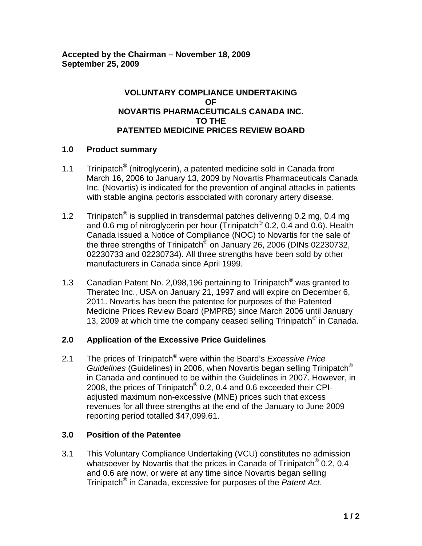# **VOLUNTARY COMPLIANCE UNDERTAKING OF NOVARTIS PHARMACEUTICALS CANADA INC. TO THE PATENTED MEDICINE PRICES REVIEW BOARD**

# **1.0 Product summary**

- 1.1 Trinipatch<sup>®</sup> (nitroglycerin), a patented medicine sold in Canada from March 16, 2006 to January 13, 2009 by Novartis Pharmaceuticals Canada Inc. (Novartis) is indicated for the prevention of anginal attacks in patients with stable angina pectoris associated with coronary artery disease.
- 1.2 Trinipatch<sup>®</sup> is supplied in transdermal patches delivering 0.2 mg, 0.4 mg and 0.6 mg of nitroglycerin per hour (Trinipatch® 0.2, 0.4 and 0.6). Health Canada issued a Notice of Compliance (NOC) to Novartis for the sale of the three strengths of Trinipatch<sup>®</sup> on January 26, 2006 (DINs 02230732, 02230733 and 02230734). All three strengths have been sold by other manufacturers in Canada since April 1999.
- 1.3 Canadian Patent No. 2,098,196 pertaining to Trinipatch<sup>®</sup> was granted to Theratec Inc., USA on January 21, 1997 and will expire on December 6, 2011. Novartis has been the patentee for purposes of the Patented Medicine Prices Review Board (PMPRB) since March 2006 until January 13, 2009 at which time the company ceased selling Trinipatch<sup>®</sup> in Canada.

# **2.0 Application of the Excessive Price Guidelines**

2.1 The prices of Trinipatch® were within the Board's *Excessive Price Guidelines* (Guidelines) in 2006, when Novartis began selling Trinipatch® in Canada and continued to be within the Guidelines in 2007. However, in 2008, the prices of Trinipatch<sup>®</sup> 0.2, 0.4 and 0.6 exceeded their CPIadjusted maximum non-excessive (MNE) prices such that excess revenues for all three strengths at the end of the January to June 2009 reporting period totalled \$47,099.61.

#### **3.0 Position of the Patentee**

3.1 This Voluntary Compliance Undertaking (VCU) constitutes no admission whatsoever by Novartis that the prices in Canada of Trinipatch<sup>®</sup> 0.2, 0.4 and 0.6 are now, or were at any time since Novartis began selling Trinipatch® in Canada, excessive for purposes of the *Patent Act*.